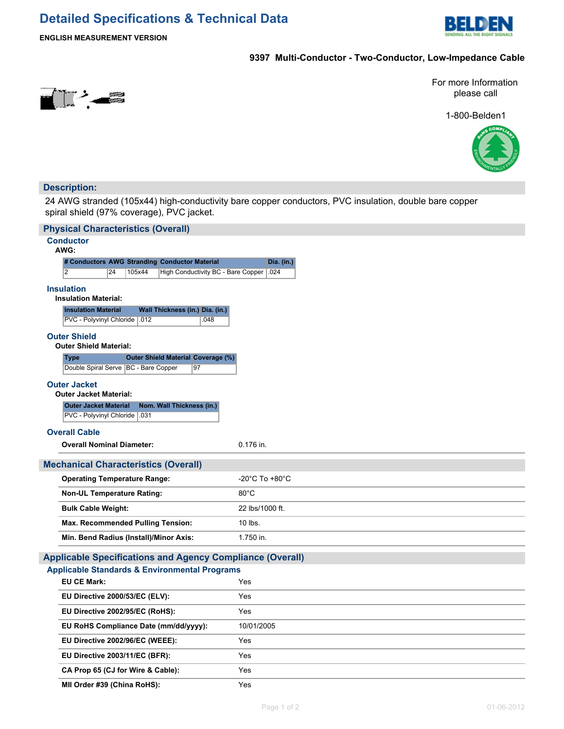# **Detailed Specifications & Technical Data**



**ENGLISH MEASUREMENT VERSION**

## **9397 Multi-Conductor - Two-Conductor, Low-Impedance Cable**



For more Information please call

1-800-Belden1



### **Description:**

24 AWG stranded (105x44) high-conductivity bare copper conductors, PVC insulation, double bare copper spiral shield (97% coverage), PVC jacket.

| <b>Physical Characteristics (Overall)</b>                                                                                    |                                                 |            |
|------------------------------------------------------------------------------------------------------------------------------|-------------------------------------------------|------------|
| <b>Conductor</b>                                                                                                             |                                                 |            |
| AWG:                                                                                                                         |                                                 |            |
| # Conductors AWG Stranding Conductor Material<br>$\overline{2}$<br>24<br>105x44                                              | High Conductivity BC - Bare Copper<br>.024      | Dia. (in.) |
|                                                                                                                              |                                                 |            |
| <b>Insulation</b><br><b>Insulation Material:</b>                                                                             |                                                 |            |
| <b>Insulation Material</b>                                                                                                   | Wall Thickness (in.) Dia. (in.)                 |            |
| PVC - Polyvinyl Chloride   012                                                                                               | .048                                            |            |
| <b>Outer Shield</b>                                                                                                          |                                                 |            |
| <b>Outer Shield Material:</b>                                                                                                |                                                 |            |
| <b>Type</b>                                                                                                                  | <b>Outer Shield Material Coverage (%)</b><br>97 |            |
| Double Spiral Serve   BC - Bare Copper                                                                                       |                                                 |            |
| <b>Outer Jacket</b><br><b>Outer Jacket Material:</b>                                                                         |                                                 |            |
| <b>Outer Jacket Material</b>                                                                                                 | Nom. Wall Thickness (in.)                       |            |
| PVC - Polyvinyl Chloride   .031                                                                                              |                                                 |            |
| <b>Overall Cable</b>                                                                                                         |                                                 |            |
| <b>Overall Nominal Diameter:</b>                                                                                             | 0.176 in.                                       |            |
|                                                                                                                              |                                                 |            |
| <b>Mechanical Characteristics (Overall)</b>                                                                                  |                                                 |            |
| <b>Operating Temperature Range:</b><br>-20°C To +80°C                                                                        |                                                 |            |
| <b>Non-UL Temperature Rating:</b>                                                                                            | $80^{\circ}$ C                                  |            |
| <b>Bulk Cable Weight:</b>                                                                                                    | 22 lbs/1000 ft.                                 |            |
| <b>Max. Recommended Pulling Tension:</b>                                                                                     | 10 lbs.                                         |            |
| Min. Bend Radius (Install)/Minor Axis:                                                                                       | 1.750 in.                                       |            |
|                                                                                                                              |                                                 |            |
| <b>Applicable Specifications and Agency Compliance (Overall)</b><br><b>Applicable Standards &amp; Environmental Programs</b> |                                                 |            |
| <b>EU CE Mark:</b>                                                                                                           | Yes                                             |            |
| EU Directive 2000/53/EC (ELV):                                                                                               | Yes                                             |            |
|                                                                                                                              |                                                 |            |
| EU Directive 2002/95/EC (RoHS):                                                                                              | Yes                                             |            |
| EU RoHS Compliance Date (mm/dd/yyyy):                                                                                        | 10/01/2005                                      |            |
| EU Directive 2002/96/EC (WEEE):                                                                                              | Yes                                             |            |
| EU Directive 2003/11/EC (BFR):                                                                                               | Yes                                             |            |
| CA Prop 65 (CJ for Wire & Cable):                                                                                            | Yes                                             |            |
| MII Order #39 (China RoHS):                                                                                                  | Yes                                             |            |